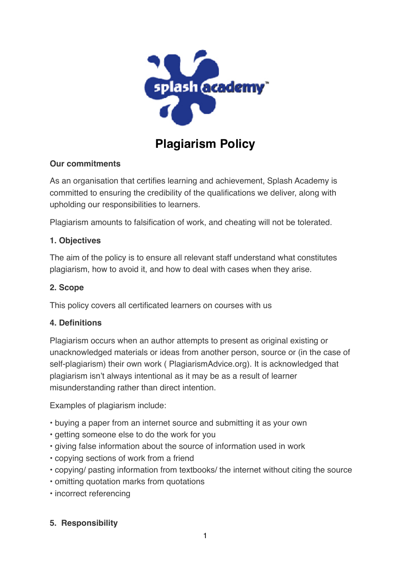

# **Plagiarism Policy**

# **Our commitments**

As an organisation that certifies learning and achievement, Splash Academy is committed to ensuring the credibility of the qualifications we deliver, along with upholding our responsibilities to learners.

Plagiarism amounts to falsification of work, and cheating will not be tolerated.

## **1. Objectives**

The aim of the policy is to ensure all relevant staff understand what constitutes plagiarism, how to avoid it, and how to deal with cases when they arise.

## **2. Scope**

This policy covers all certificated learners on courses with us

#### **4. Definitions**

Plagiarism occurs when an author attempts to present as original existing or unacknowledged materials or ideas from another person, source or (in the case of self-plagiarism) their own work ( PlagiarismAdvice.org). It is acknowledged that plagiarism isn't always intentional as it may be as a result of learner misunderstanding rather than direct intention.

Examples of plagiarism include:

- buying a paper from an internet source and submitting it as your own
- getting someone else to do the work for you
- giving false information about the source of information used in work
- copying sections of work from a friend
- copying/ pasting information from textbooks/ the internet without citing the source
- omitting quotation marks from quotations
- incorrect referencing

# **5. Responsibility**